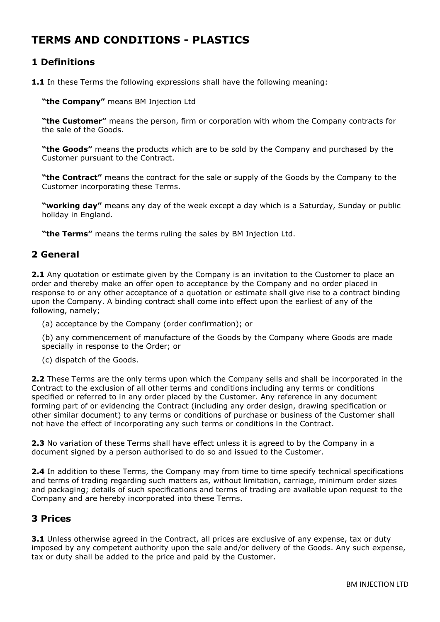# **TERMS AND CONDITIONS - PLASTICS**

# **1 Definitions**

**1.1** In these Terms the following expressions shall have the following meaning:

**"the Company"** means BM Injection Ltd

**"the Customer"** means the person, firm or corporation with whom the Company contracts for the sale of the Goods.

**"the Goods"** means the products which are to be sold by the Company and purchased by the Customer pursuant to the Contract.

**"the Contract"** means the contract for the sale or supply of the Goods by the Company to the Customer incorporating these Terms.

**"working day"** means any day of the week except a day which is a Saturday, Sunday or public holiday in England.

**"the Terms"** means the terms ruling the sales by BM Injection Ltd.

# **2 General**

**2.1** Any quotation or estimate given by the Company is an invitation to the Customer to place an order and thereby make an offer open to acceptance by the Company and no order placed in response to or any other acceptance of a quotation or estimate shall give rise to a contract binding upon the Company. A binding contract shall come into effect upon the earliest of any of the following, namely;

(a) acceptance by the Company (order confirmation); or

(b) any commencement of manufacture of the Goods by the Company where Goods are made specially in response to the Order; or

(c) dispatch of the Goods.

**2.2** These Terms are the only terms upon which the Company sells and shall be incorporated in the Contract to the exclusion of all other terms and conditions including any terms or conditions specified or referred to in any order placed by the Customer. Any reference in any document forming part of or evidencing the Contract (including any order design, drawing specification or other similar document) to any terms or conditions of purchase or business of the Customer shall not have the effect of incorporating any such terms or conditions in the Contract.

**2.3** No variation of these Terms shall have effect unless it is agreed to by the Company in a document signed by a person authorised to do so and issued to the Customer.

**2.4** In addition to these Terms, the Company may from time to time specify technical specifications and terms of trading regarding such matters as, without limitation, carriage, minimum order sizes and packaging; details of such specifications and terms of trading are available upon request to the Company and are hereby incorporated into these Terms.

## **3 Prices**

**3.1** Unless otherwise agreed in the Contract, all prices are exclusive of any expense, tax or duty imposed by any competent authority upon the sale and/or delivery of the Goods. Any such expense, tax or duty shall be added to the price and paid by the Customer.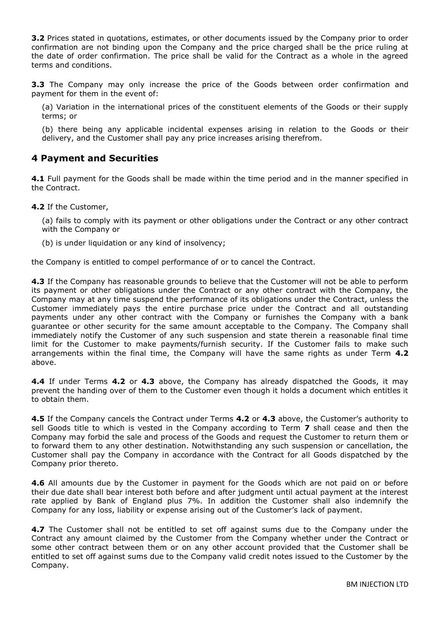**3.2** Prices stated in quotations, estimates, or other documents issued by the Company prior to order confirmation are not binding upon the Company and the price charged shall be the price ruling at the date of order confirmation. The price shall be valid for the Contract as a whole in the agreed terms and conditions.

**3.3** The Company may only increase the price of the Goods between order confirmation and payment for them in the event of:

(a) Variation in the international prices of the constituent elements of the Goods or their supply terms; or

(b) there being any applicable incidental expenses arising in relation to the Goods or their delivery, and the Customer shall pay any price increases arising therefrom.

## **4 Payment and Securities**

**4.1** Full payment for the Goods shall be made within the time period and in the manner specified in the Contract.

**4.2** If the Customer,

(a) fails to comply with its payment or other obligations under the Contract or any other contract with the Company or

(b) is under liquidation or any kind of insolvency;

the Company is entitled to compel performance of or to cancel the Contract.

**4.3** If the Company has reasonable grounds to believe that the Customer will not be able to perform its payment or other obligations under the Contract or any other contract with the Company, the Company may at any time suspend the performance of its obligations under the Contract, unless the Customer immediately pays the entire purchase price under the Contract and all outstanding payments under any other contract with the Company or furnishes the Company with a bank guarantee or other security for the same amount acceptable to the Company. The Company shall immediately notify the Customer of any such suspension and state therein a reasonable final time limit for the Customer to make payments/furnish security. If the Customer fails to make such arrangements within the final time, the Company will have the same rights as under Term **4.2** above.

**4.4** If under Terms **4.2** or **4.3** above, the Company has already dispatched the Goods, it may prevent the handing over of them to the Customer even though it holds a document which entitles it to obtain them.

**4.5** If the Company cancels the Contract under Terms **4.2** or **4.3** above, the Customer's authority to sell Goods title to which is vested in the Company according to Term **7** shall cease and then the Company may forbid the sale and process of the Goods and request the Customer to return them or to forward them to any other destination. Notwithstanding any such suspension or cancellation, the Customer shall pay the Company in accordance with the Contract for all Goods dispatched by the Company prior thereto.

**4.6** All amounts due by the Customer in payment for the Goods which are not paid on or before their due date shall bear interest both before and after judgment until actual payment at the interest rate applied by Bank of England plus 7%. In addition the Customer shall also indemnify the Company for any loss, liability or expense arising out of the Customer's lack of payment.

**4.7** The Customer shall not be entitled to set off against sums due to the Company under the Contract any amount claimed by the Customer from the Company whether under the Contract or some other contract between them or on any other account provided that the Customer shall be entitled to set off against sums due to the Company valid credit notes issued to the Customer by the Company.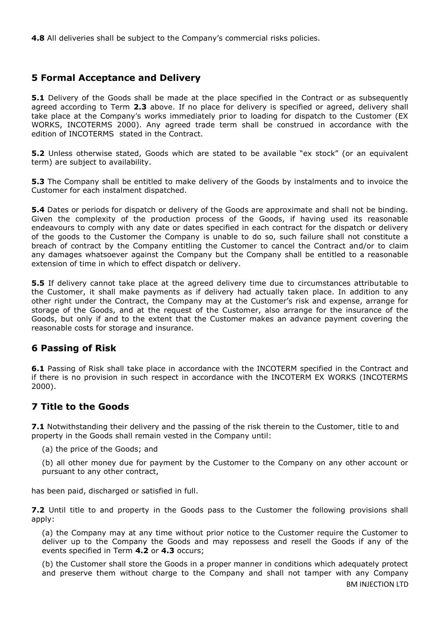**4.8** All deliveries shall be subject to the Company's commercial risks policies.

# **5 Formal Acceptance and Delivery**

**5.1** Delivery of the Goods shall be made at the place specified in the Contract or as subsequently agreed according to Term **2.3** above. If no place for delivery is specified or agreed, delivery shall take place at the Company's works immediately prior to loading for dispatch to the Customer (EX WORKS, INCOTERMS 2000). Any agreed trade term shall be construed in accordance with the edition of INCOTERMS stated in the Contract.

**5.2** Unless otherwise stated, Goods which are stated to be available "ex stock" (or an equivalent term) are subject to availability.

**5.3** The Company shall be entitled to make delivery of the Goods by instalments and to invoice the Customer for each instalment dispatched.

**5.4** Dates or periods for dispatch or delivery of the Goods are approximate and shall not be binding. Given the complexity of the production process of the Goods, if having used its reasonable endeavours to comply with any date or dates specified in each contract for the dispatch or delivery of the goods to the Customer the Company is unable to do so, such failure shall not constitute a breach of contract by the Company entitling the Customer to cancel the Contract and/or to claim any damages whatsoever against the Company but the Company shall be entitled to a reasonable extension of time in which to effect dispatch or delivery.

**5.5** If delivery cannot take place at the agreed delivery time due to circumstances attributable to the Customer, it shall make payments as if delivery had actually taken place. In addition to any other right under the Contract, the Company may at the Customer's risk and expense, arrange for storage of the Goods, and at the request of the Customer, also arrange for the insurance of the Goods, but only if and to the extent that the Customer makes an advance payment covering the reasonable costs for storage and insurance.

# **6 Passing of Risk**

**6.1** Passing of Risk shall take place in accordance with the INCOTERM specified in the Contract and if there is no provision in such respect in accordance with the INCOTERM EX WORKS (INCOTERMS 2000).

# **7 Title to the Goods**

**7.1** Notwithstanding their delivery and the passing of the risk therein to the Customer, title to and property in the Goods shall remain vested in the Company until:

(a) the price of the Goods; and

(b) all other money due for payment by the Customer to the Company on any other account or pursuant to any other contract,

has been paid, discharged or satisfied in full.

**7.2** Until title to and property in the Goods pass to the Customer the following provisions shall apply:

(a) the Company may at any time without prior notice to the Customer require the Customer to deliver up to the Company the Goods and may repossess and resell the Goods if any of the events specified in Term **4.2** or **4.3** occurs;

(b) the Customer shall store the Goods in a proper manner in conditions which adequately protect and preserve them without charge to the Company and shall not tamper with any Company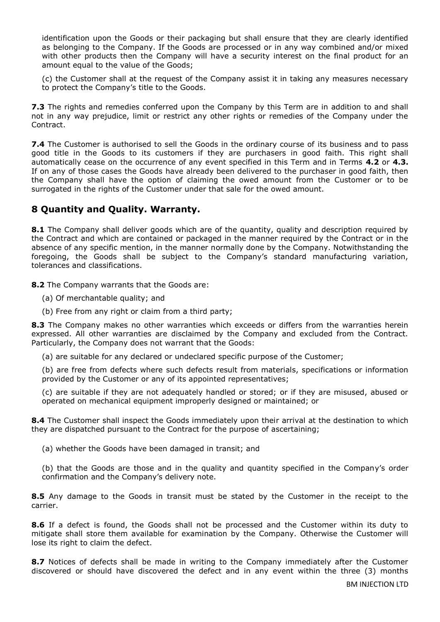identification upon the Goods or their packaging but shall ensure that they are clearly identified as belonging to the Company. If the Goods are processed or in any way combined and/or mixed with other products then the Company will have a security interest on the final product for an amount equal to the value of the Goods;

(c) the Customer shall at the request of the Company assist it in taking any measures necessary to protect the Company's title to the Goods.

**7.3** The rights and remedies conferred upon the Company by this Term are in addition to and shall not in any way prejudice, limit or restrict any other rights or remedies of the Company under the Contract.

**7.4** The Customer is authorised to sell the Goods in the ordinary course of its business and to pass good title in the Goods to its customers if they are purchasers in good faith. This right shall automatically cease on the occurrence of any event specified in this Term and in Terms **4.2** or **4.3.**  If on any of those cases the Goods have already been delivered to the purchaser in good faith, then the Company shall have the option of claiming the owed amount from the Customer or to be surrogated in the rights of the Customer under that sale for the owed amount.

## **8 Quantity and Quality. Warranty.**

**8.1** The Company shall deliver goods which are of the quantity, quality and description required by the Contract and which are contained or packaged in the manner required by the Contract or in the absence of any specific mention, in the manner normally done by the Company. Notwithstanding the foregoing, the Goods shall be subject to the Company's standard manufacturing variation, tolerances and classifications.

**8.2** The Company warrants that the Goods are:

(a) Of merchantable quality; and

(b) Free from any right or claim from a third party;

**8.3** The Company makes no other warranties which exceeds or differs from the warranties herein expressed. All other warranties are disclaimed by the Company and excluded from the Contract. Particularly, the Company does not warrant that the Goods:

(a) are suitable for any declared or undeclared specific purpose of the Customer;

(b) are free from defects where such defects result from materials, specifications or information provided by the Customer or any of its appointed representatives;

(c) are suitable if they are not adequately handled or stored; or if they are misused, abused or operated on mechanical equipment improperly designed or maintained; or

**8.4** The Customer shall inspect the Goods immediately upon their arrival at the destination to which they are dispatched pursuant to the Contract for the purpose of ascertaining;

(a) whether the Goods have been damaged in transit; and

(b) that the Goods are those and in the quality and quantity specified in the Company's order confirmation and the Company's delivery note.

8.5 Any damage to the Goods in transit must be stated by the Customer in the receipt to the carrier.

**8.6** If a defect is found, the Goods shall not be processed and the Customer within its duty to mitigate shall store them available for examination by the Company. Otherwise the Customer will lose its right to claim the defect.

**8.7** Notices of defects shall be made in writing to the Company immediately after the Customer discovered or should have discovered the defect and in any event within the three (3) months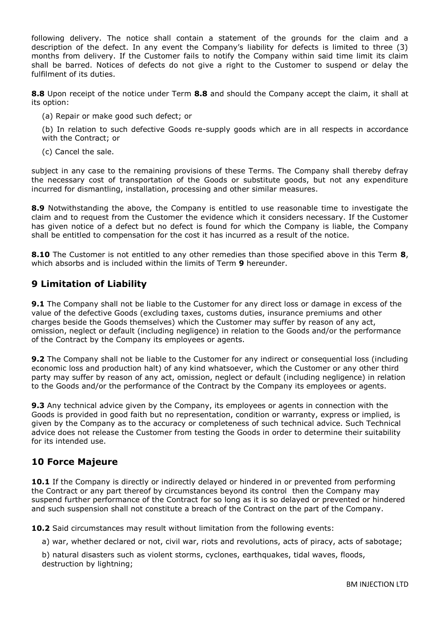following delivery. The notice shall contain a statement of the grounds for the claim and a description of the defect. In any event the Company's liability for defects is limited to three (3) months from delivery. If the Customer fails to notify the Company within said time limit its claim shall be barred. Notices of defects do not give a right to the Customer to suspend or delay the fulfilment of its duties.

**8.8** Upon receipt of the notice under Term **8.8** and should the Company accept the claim, it shall at its option:

(a) Repair or make good such defect; or

(b) In relation to such defective Goods re-supply goods which are in all respects in accordance with the Contract; or

(c) Cancel the sale.

subject in any case to the remaining provisions of these Terms. The Company shall thereby defray the necessary cost of transportation of the Goods or substitute goods, but not any expenditure incurred for dismantling, installation, processing and other similar measures.

**8.9** Notwithstanding the above, the Company is entitled to use reasonable time to investigate the claim and to request from the Customer the evidence which it considers necessary. If the Customer has given notice of a defect but no defect is found for which the Company is liable, the Company shall be entitled to compensation for the cost it has incurred as a result of the notice.

**8.10** The Customer is not entitled to any other remedies than those specified above in this Term **8**, which absorbs and is included within the limits of Term **9** hereunder.

## **9 Limitation of Liability**

**9.1** The Company shall not be liable to the Customer for any direct loss or damage in excess of the value of the defective Goods (excluding taxes, customs duties, insurance premiums and other charges beside the Goods themselves) which the Customer may suffer by reason of any act, omission, neglect or default (including negligence) in relation to the Goods and/or the performance of the Contract by the Company its employees or agents.

**9.2** The Company shall not be liable to the Customer for any indirect or consequential loss (including economic loss and production halt) of any kind whatsoever, which the Customer or any other third party may suffer by reason of any act, omission, neglect or default (including negligence) in relation to the Goods and/or the performance of the Contract by the Company its employees or agents.

**9.3** Any technical advice given by the Company, its employees or agents in connection with the Goods is provided in good faith but no representation, condition or warranty, express or implied, is given by the Company as to the accuracy or completeness of such technical advice. Such Technical advice does not release the Customer from testing the Goods in order to determine their suitability for its intended use.

# **10 Force Majeure**

10.1 If the Company is directly or indirectly delayed or hindered in or prevented from performing the Contract or any part thereof by circumstances beyond its control then the Company may suspend further performance of the Contract for so long as it is so delayed or prevented or hindered and such suspension shall not constitute a breach of the Contract on the part of the Company.

**10.2** Said circumstances may result without limitation from the following events:

a) war, whether declared or not, civil war, riots and revolutions, acts of piracy, acts of sabotage;

b) natural disasters such as violent storms, cyclones, earthquakes, tidal waves, floods, destruction by lightning;